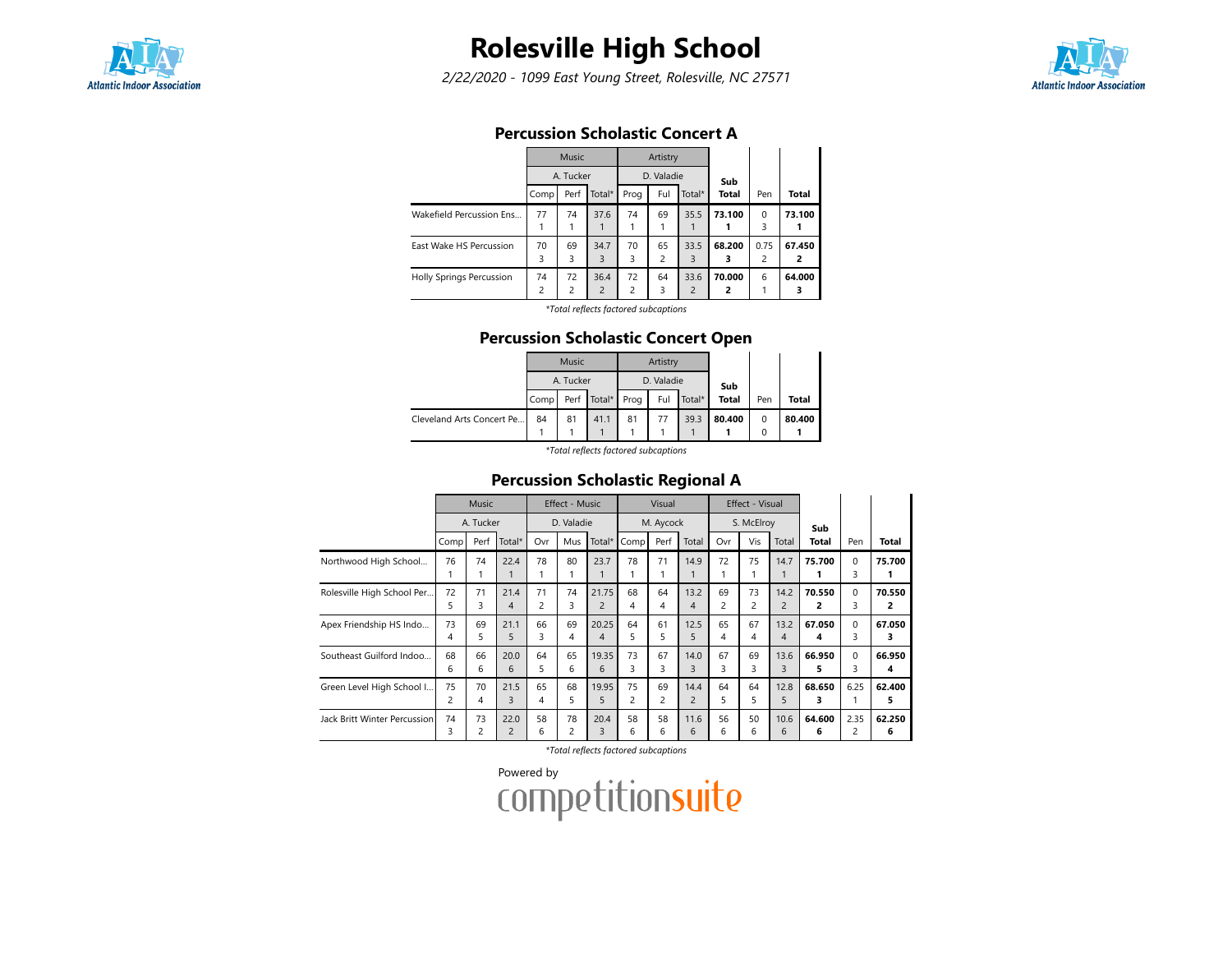

## Rolesville High School

2/22/2020 - 1099 East Young Street, Rolesville, NC 27571



### Percussion Scholastic Concert A

|                          |         | Music                |                        |                      | Artistry   |                        |              |                        |             |
|--------------------------|---------|----------------------|------------------------|----------------------|------------|------------------------|--------------|------------------------|-------------|
|                          |         | A. Tucker            |                        |                      | D. Valadie |                        | Sub          |                        |             |
|                          | Comp    | Perf                 | Total*                 | Prog                 | Ful        | Total*                 | <b>Total</b> | Pen                    | Total       |
| Wakefield Percussion Ens | 77      | 74                   | 37.6                   | 74                   | 69         | 35.5                   | 73.100       | $\Omega$<br>3          | 73.100      |
| East Wake HS Percussion  | 70<br>3 | 69<br>3              | 34.7<br>3              | 70<br>3              | 65<br>2    | 33.5<br>3              | 68.200<br>3  | 0.75<br>$\overline{c}$ | 67.450<br>2 |
| Holly Springs Percussion | 74<br>2 | 72<br>$\overline{c}$ | 36.4<br>$\overline{2}$ | 72<br>$\overline{2}$ | 64<br>3    | 33.6<br>$\overline{2}$ | 70.000<br>2  | 6                      | 64.000<br>з |

\*Total reflects factored subcaptions

#### Percussion Scholastic Concert Open

|                           |      | <b>Music</b> |             |      | Artistry   |        |              |          |        |
|---------------------------|------|--------------|-------------|------|------------|--------|--------------|----------|--------|
|                           |      | A. Tucker    |             |      | D. Valadie |        | Sub          |          |        |
|                           | Comp |              | Perf Total* | Prog | Ful        | Total* | <b>Total</b> | Pen      | Total  |
| Cleveland Arts Concert Pe | 84   | 81           | 41.1        | 81   | 77         | 39.3   | 80.400       | 0        | 80.400 |
|                           |      |              |             |      |            |        |              | $\Omega$ |        |
|                           |      |              | .           |      |            |        |              |          |        |

\*Total reflects factored subcaptions

 $\overline{a}$ 

## Percussion Scholastic Regional A

|                              | <b>Music</b><br>A. Tucker |         |                        |         | <b>Effect - Music</b> |                         |         | Visual               |                        |                      | Effect - Visual      |                        |              |                        |             |
|------------------------------|---------------------------|---------|------------------------|---------|-----------------------|-------------------------|---------|----------------------|------------------------|----------------------|----------------------|------------------------|--------------|------------------------|-------------|
|                              |                           |         |                        |         | D. Valadie            |                         |         | M. Aycock            |                        |                      | S. McElroy           |                        | Sub          |                        |             |
|                              | Comp                      | Perf    | Total*                 | Ovr     | Mus                   | Total*                  | Comp    | Perf                 | Total                  | Ovr                  | Vis                  | Total                  | <b>Total</b> | Pen                    | Total       |
| Northwood High School        | 76                        | 74      | 22.4                   | 78      | 80                    | 23.7                    | 78      | 71                   | 14.9                   | 72                   | 75                   | 14.7                   | 75.700       | $\Omega$<br>3          | 75.700      |
| Rolesville High School Per   | 72<br>5                   | 71<br>3 | 21.4<br>4              | 71<br>2 | 74<br>3               | 21.75<br>$\overline{2}$ | 68<br>4 | 64<br>4              | 13.2<br>4              | 69<br>$\overline{c}$ | 73<br>$\overline{2}$ | 14.2<br>$\overline{2}$ | 70.550<br>2  | $\Omega$<br>3          | 70.550<br>2 |
| Apex Friendship HS Indo      | 73<br>4                   | 69<br>5 | 21.1<br>5              | 66<br>3 | 69<br>4               | 20.25<br>4              | 64<br>5 | 61<br>5              | 12.5<br>5.             | 65<br>4              | 67<br>4              | 13.2<br>4              | 67.050<br>4  | $\Omega$<br>3          | 67.050<br>3 |
| Southeast Guilford Indoo     | 68<br>6                   | 66<br>6 | 20.0<br>6              | 64<br>5 | 65<br>6               | 19.35<br>6              | 73<br>3 | 67<br>3              | 14.0<br>3              | 67<br>3              | 69<br>3              | 13.6<br>3              | 66.950<br>5  | $\Omega$<br>3          | 66.950<br>4 |
| Green Level High School I    | 75<br>2                   | 70<br>4 | 21.5<br>3              | 65<br>4 | 68<br>5               | 19.95<br>5              | 75<br>2 | 69<br>$\overline{c}$ | 14.4<br>$\overline{c}$ | 64<br>5.             | 64<br>5              | 12.8<br>5              | 68.650<br>3  | 6.25                   | 62.400<br>5 |
| Jack Britt Winter Percussion | 74<br>3                   | 73<br>2 | 22.0<br>$\overline{2}$ | 58<br>6 | 78<br>2               | 20.4<br>3               | 58<br>6 | 58<br>6              | 11.6<br>6              | 56<br>6              | 50<br>6              | 10.6<br>6              | 64.600<br>6  | 2.35<br>$\overline{c}$ | 62.250<br>6 |

\*Total reflects factored subcaptions

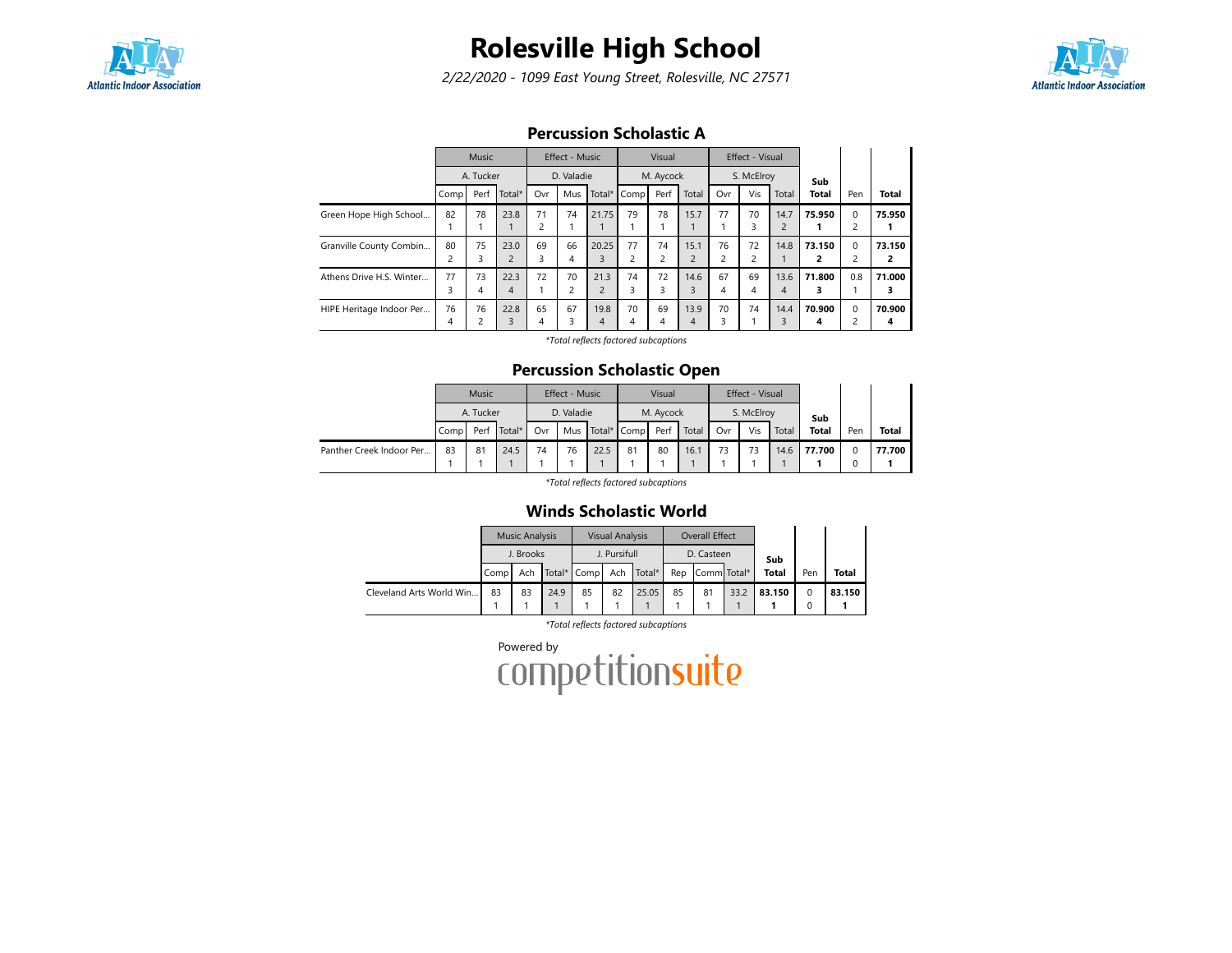

# Rolesville High School

2/22/2020 - 1099 East Young Street, Rolesville, NC 27571



### Percussion Scholastic A

|                          | Music<br>A. Tucker |         |                        |                      | Effect - Music |                        |             | Visual               |                        |                      | Effect - Visual      |                        |              |                               |              |
|--------------------------|--------------------|---------|------------------------|----------------------|----------------|------------------------|-------------|----------------------|------------------------|----------------------|----------------------|------------------------|--------------|-------------------------------|--------------|
|                          |                    |         |                        | D. Valadie           |                |                        | M. Aycock   |                      |                        |                      | S. McElroy           |                        | Sub          |                               |              |
|                          | Comp               | Perf    | Total*                 | Ovr                  | Mus            |                        | Total* Comp | Perf                 | Total                  | Ovr                  | Vis                  | Total                  | <b>Total</b> | Pen                           | <b>Total</b> |
| Green Hope High School   | 82                 | 78      | 23.8                   | 71<br>$\overline{2}$ | 74             | 21.75                  | 79          | 78                   | 15.7                   | 77                   | 70<br>3              | 14.7<br>$\overline{2}$ | 75.950       | $\Omega$<br>2                 | 75.950       |
| Granville County Combin  | 80<br>∍            | 75<br>3 | 23.0<br>$\overline{2}$ | 69<br>3              | 66<br>4        | 20.25<br>3             | 77          | 74<br>$\overline{c}$ | 15.1<br>$\overline{2}$ | 76<br>$\overline{c}$ | 72<br>$\overline{c}$ | 14.8                   | 73.150<br>2  | $\Omega$<br>2                 | 73.150<br>2  |
| Athens Drive H.S. Winter | 77<br>3            | 73<br>4 | 22.3<br>$\overline{4}$ | 72                   | 70<br>2        | 21.3<br>$\overline{c}$ | 74<br>3     | 72<br>3              | 14.6<br>3              | 67<br>4              | 69<br>4              | 13.6<br>4              | 71.800<br>3  | 0.8                           | 71.000<br>з  |
| HIPE Heritage Indoor Per | 76<br>4            | 76      | 22.8<br>3              | 65<br>$\overline{4}$ | 67<br>3        | 19.8<br>4              | 70<br>4     | 69<br>4              | 13.9<br>4              | 70<br>3              | 74                   | 14.4<br>ζ              | 70.900<br>4  | $\mathbf 0$<br>$\overline{c}$ | 70.900<br>4  |

\*Total reflects factored subcaptions

### Percussion Scholastic Open

|                          | <b>Music</b><br>A. Tucker |      |           |            | Effect - Music |      |                      | Visual |       |     | Effect - Visual |       |              |     |              |
|--------------------------|---------------------------|------|-----------|------------|----------------|------|----------------------|--------|-------|-----|-----------------|-------|--------------|-----|--------------|
|                          |                           |      |           | D. Valadie |                |      | M. Aycock            |        |       |     | S. McElroy      |       | Sub          |     |              |
|                          | Comp <sup>1</sup>         | Perf | Total $*$ | Ovr        |                |      | Mus Total* Comp Perf |        | Total | Ovr | Vis             | Total | <b>Total</b> | Pen | <b>Total</b> |
| Panther Creek Indoor Per | 83                        | 81   | 24.5      | 74         | 76             | 22.5 | 81                   | 80     | 16.1  | 73  | 73              | 14.6  | 77.700       |     | 77.700       |

\*Total reflects factored subcaptions

#### Winds Scholastic World

|                          |           | <b>Music Analysis</b> |      |             | <b>Visual Analysis</b> |        |     | Overall Effect |      |              |          |        |
|--------------------------|-----------|-----------------------|------|-------------|------------------------|--------|-----|----------------|------|--------------|----------|--------|
|                          | J. Brooks |                       |      |             | J. Pursifull           |        |     | D. Casteen     |      | Sub          |          |        |
|                          | Comp      | Ach                   |      | Total* Comp | Ach                    | Total* | Rep | Comm Total*    |      | <b>Total</b> | Pen      | Total  |
| Cleveland Arts World Win | 83        | 83                    | 24.9 | 85          | 82                     | 25.05  | 85  | 81             | 33.2 | 83.150       | $\Omega$ | 83.150 |
|                          |           |                       |      |             |                        |        |     |                |      |              | 0        |        |

\*Total reflects factored subcaptions

Powered by<br>COMPetitionsuite